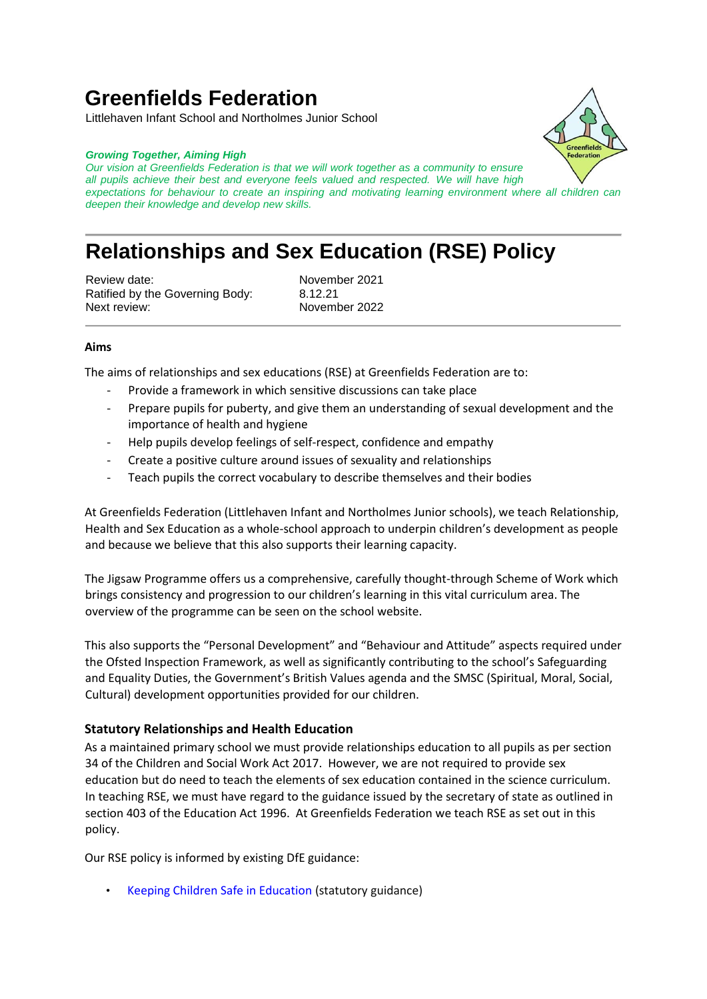# **Greenfields Federation**

Littlehaven Infant School and Northolmes Junior School

#### *Growing Together, Aiming High*

*Our vision at Greenfields Federation is that we will work together as a community to ensure all pupils achieve their best and everyone feels valued and respected. We will have high expectations for behaviour to create an inspiring and motivating learning environment where all children can deepen their knowledge and develop new skills.*

# **Relationships and Sex Education (RSE) Policy**

Review date: November 2021 Ratified by the Governing Body: 8.12.21 Next review: November 2022

### **Aims**

The aims of relationships and sex educations (RSE) at Greenfields Federation are to:

- Provide a framework in which sensitive discussions can take place
- Prepare pupils for puberty, and give them an understanding of sexual development and the importance of health and hygiene
- Help pupils develop feelings of self-respect, confidence and empathy
- Create a positive culture around issues of sexuality and relationships
- Teach pupils the correct vocabulary to describe themselves and their bodies

At Greenfields Federation (Littlehaven Infant and Northolmes Junior schools), we teach Relationship, Health and Sex Education as a whole-school approach to underpin children's development as people and because we believe that this also supports their learning capacity.

The Jigsaw Programme offers us a comprehensive, carefully thought-through Scheme of Work which brings consistency and progression to our children's learning in this vital curriculum area. The overview of the programme can be seen on the school website.

This also supports the "Personal Development" and "Behaviour and Attitude" aspects required under the Ofsted Inspection Framework, as well as significantly contributing to the school's Safeguarding and Equality Duties, the Government's British Values agenda and the SMSC (Spiritual, Moral, Social, Cultural) development opportunities provided for our children.

### **Statutory Relationships and Health Education**

As a maintained primary school we must provide relationships education to all pupils as per section 34 of the Children and Social Work Act 2017. However, we are not required to provide sex education but do need to teach the elements of sex education contained in the science curriculum. In teaching RSE, we must have regard to the guidance issued by the secretary of state as outlined in section 403 of the Education Act 1996. At Greenfields Federation we teach RSE as set out in this policy.

Our RSE policy is informed by existing DfE guidance:

• Keeping Children Safe in Education (statutory guidance)

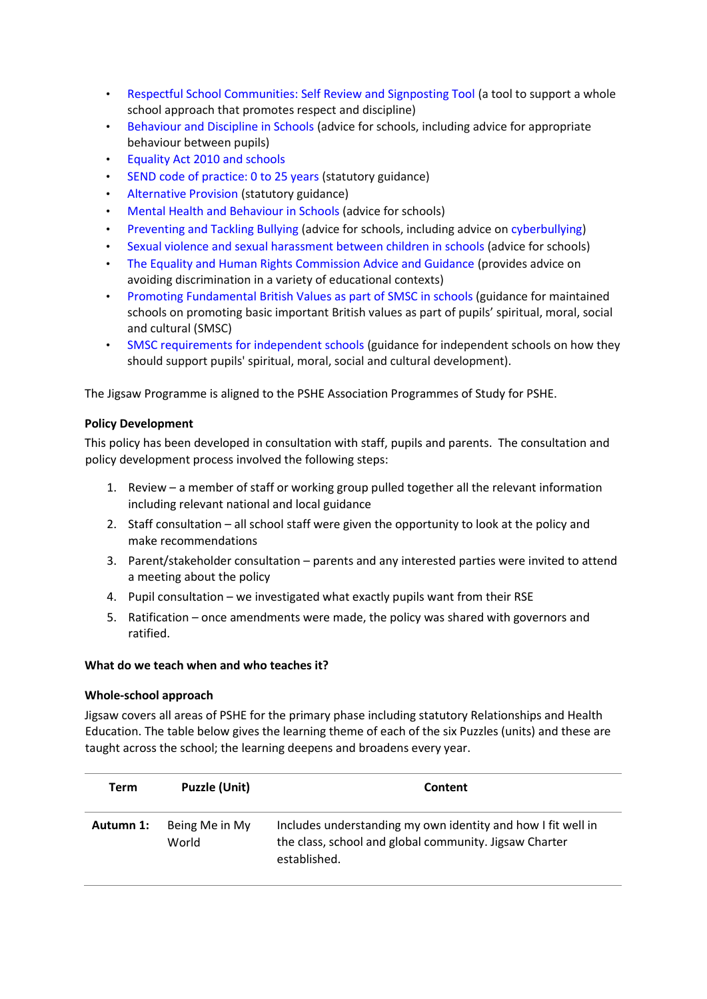- Respectful School Communities: Self Review and Signposting Tool (a tool to support a whole school approach that promotes respect and discipline)
- Behaviour and Discipline in Schools (advice for schools, including advice for appropriate behaviour between pupils)
- Equality Act 2010 and schools
- SEND code of practice: 0 to 25 years (statutory guidance)
- Alternative Provision (statutory guidance)
- Mental Health and Behaviour in Schools (advice for schools)
- Preventing and Tackling Bullying (advice for schools, including advice on cyberbullying)
- Sexual violence and sexual harassment between children in schools (advice for schools)
- The Equality and Human Rights Commission Advice and Guidance (provides advice on avoiding discrimination in a variety of educational contexts)
- Promoting Fundamental British Values as part of SMSC in schools (guidance for maintained schools on promoting basic important British values as part of pupils' spiritual, moral, social and cultural (SMSC)
- SMSC requirements for independent schools (guidance for independent schools on how they should support pupils' spiritual, moral, social and cultural development).

The Jigsaw Programme is aligned to the PSHE Association Programmes of Study for PSHE.

## **Policy Development**

This policy has been developed in consultation with staff, pupils and parents. The consultation and policy development process involved the following steps:

- 1. Review a member of staff or working group pulled together all the relevant information including relevant national and local guidance
- 2. Staff consultation all school staff were given the opportunity to look at the policy and make recommendations
- 3. Parent/stakeholder consultation parents and any interested parties were invited to attend a meeting about the policy
- 4. Pupil consultation we investigated what exactly pupils want from their RSE
- 5. Ratification once amendments were made, the policy was shared with governors and ratified.

### **What do we teach when and who teaches it?**

### **Whole-school approach**

Jigsaw covers all areas of PSHE for the primary phase including statutory Relationships and Health Education. The table below gives the learning theme of each of the six Puzzles (units) and these are taught across the school; the learning deepens and broadens every year.

| Term      | Puzzle (Unit)           | Content                                                                                                                                |
|-----------|-------------------------|----------------------------------------------------------------------------------------------------------------------------------------|
| Autumn 1: | Being Me in My<br>World | Includes understanding my own identity and how I fit well in<br>the class, school and global community. Jigsaw Charter<br>established. |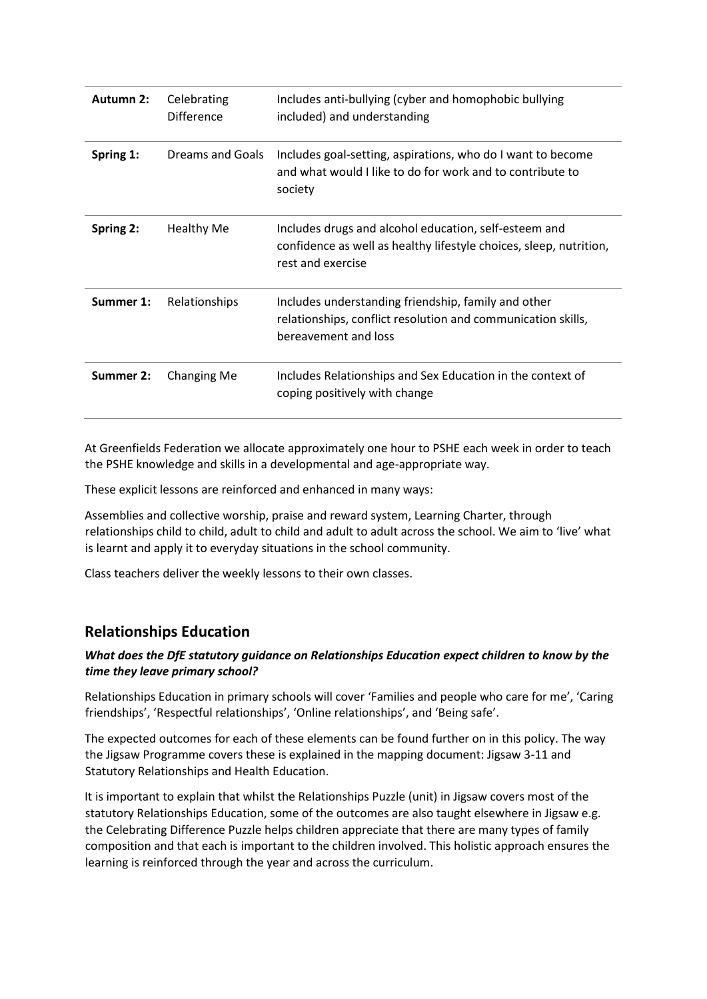| <b>Autumn 2:</b> | Celebrating<br><b>Difference</b> | Includes anti-bullying (cyber and homophobic bullying<br>included) and understanding                                                             |
|------------------|----------------------------------|--------------------------------------------------------------------------------------------------------------------------------------------------|
| Spring 1:        | Dreams and Goals                 | Includes goal-setting, aspirations, who do I want to become<br>and what would I like to do for work and to contribute to<br>society              |
| Spring 2:        | <b>Healthy Me</b>                | Includes drugs and alcohol education, self-esteem and<br>confidence as well as healthy lifestyle choices, sleep, nutrition,<br>rest and exercise |
| Summer 1:        | Relationships                    | Includes understanding friendship, family and other<br>relationships, conflict resolution and communication skills,<br>bereavement and loss      |
| Summer 2:        | Changing Me                      | Includes Relationships and Sex Education in the context of<br>coping positively with change                                                      |

At Greenfields Federation we allocate approximately one hour to PSHE each week in order to teach the PSHE knowledge and skills in a developmental and age-appropriate way.

These explicit lessons are reinforced and enhanced in many ways:

Assemblies and collective worship, praise and reward system, Learning Charter, through relationships child to child, adult to child and adult to adult across the school. We aim to 'live' what is learnt and apply it to everyday situations in the school community.

Class teachers deliver the weekly lessons to their own classes.

## **Relationships Education**

## *What does the DfE statutory guidance on Relationships Education expect children to know by the time they leave primary school?*

Relationships Education in primary schools will cover 'Families and people who care for me', 'Caring friendships', 'Respectful relationships', 'Online relationships', and 'Being safe'.

The expected outcomes for each of these elements can be found further on in this policy. The way the Jigsaw Programme covers these is explained in the mapping document: Jigsaw 3-11 and Statutory Relationships and Health Education.

It is important to explain that whilst the Relationships Puzzle (unit) in Jigsaw covers most of the statutory Relationships Education, some of the outcomes are also taught elsewhere in Jigsaw e.g. the Celebrating Difference Puzzle helps children appreciate that there are many types of family composition and that each is important to the children involved. This holistic approach ensures the learning is reinforced through the year and across the curriculum.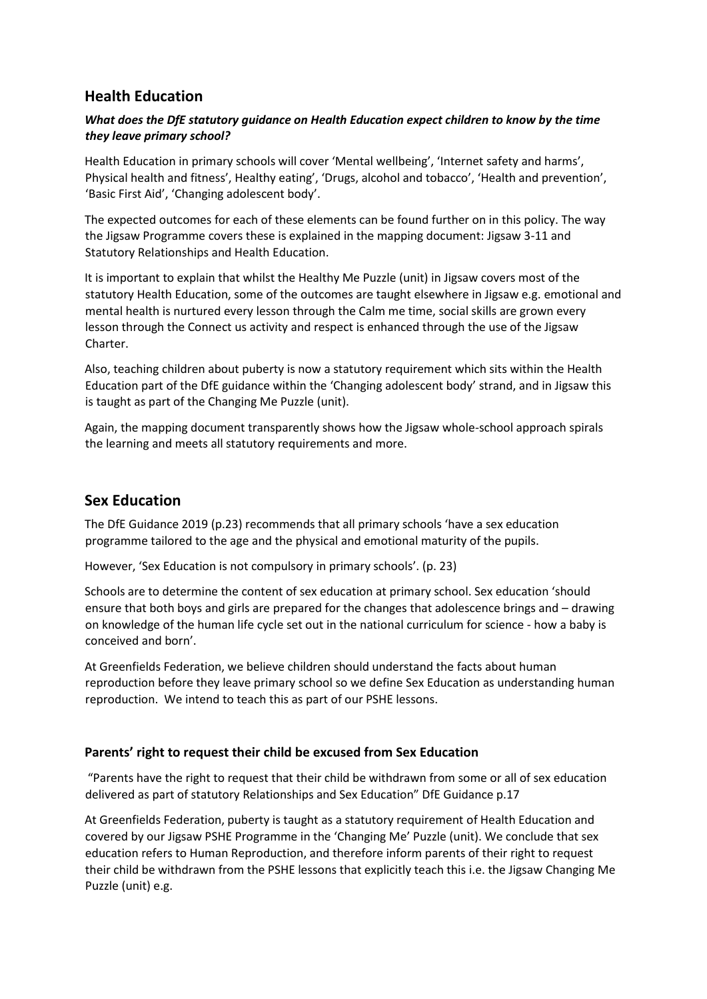# **Health Education**

## *What does the DfE statutory guidance on Health Education expect children to know by the time they leave primary school?*

Health Education in primary schools will cover 'Mental wellbeing', 'Internet safety and harms', Physical health and fitness', Healthy eating', 'Drugs, alcohol and tobacco', 'Health and prevention', 'Basic First Aid', 'Changing adolescent body'.

The expected outcomes for each of these elements can be found further on in this policy. The way the Jigsaw Programme covers these is explained in the mapping document: Jigsaw 3-11 and Statutory Relationships and Health Education.

It is important to explain that whilst the Healthy Me Puzzle (unit) in Jigsaw covers most of the statutory Health Education, some of the outcomes are taught elsewhere in Jigsaw e.g. emotional and mental health is nurtured every lesson through the Calm me time, social skills are grown every lesson through the Connect us activity and respect is enhanced through the use of the Jigsaw Charter.

Also, teaching children about puberty is now a statutory requirement which sits within the Health Education part of the DfE guidance within the 'Changing adolescent body' strand, and in Jigsaw this is taught as part of the Changing Me Puzzle (unit).

Again, the mapping document transparently shows how the Jigsaw whole-school approach spirals the learning and meets all statutory requirements and more.

# **Sex Education**

The DfE Guidance 2019 (p.23) recommends that all primary schools 'have a sex education programme tailored to the age and the physical and emotional maturity of the pupils.

However, 'Sex Education is not compulsory in primary schools'. (p. 23)

Schools are to determine the content of sex education at primary school. Sex education 'should ensure that both boys and girls are prepared for the changes that adolescence brings and – drawing on knowledge of the human life cycle set out in the national curriculum for science - how a baby is conceived and born'.

At Greenfields Federation, we believe children should understand the facts about human reproduction before they leave primary school so we define Sex Education as understanding human reproduction. We intend to teach this as part of our PSHE lessons.

## **Parents' right to request their child be excused from Sex Education**

"Parents have the right to request that their child be withdrawn from some or all of sex education delivered as part of statutory Relationships and Sex Education" DfE Guidance p.17

At Greenfields Federation, puberty is taught as a statutory requirement of Health Education and covered by our Jigsaw PSHE Programme in the 'Changing Me' Puzzle (unit). We conclude that sex education refers to Human Reproduction, and therefore inform parents of their right to request their child be withdrawn from the PSHE lessons that explicitly teach this i.e. the Jigsaw Changing Me Puzzle (unit) e.g.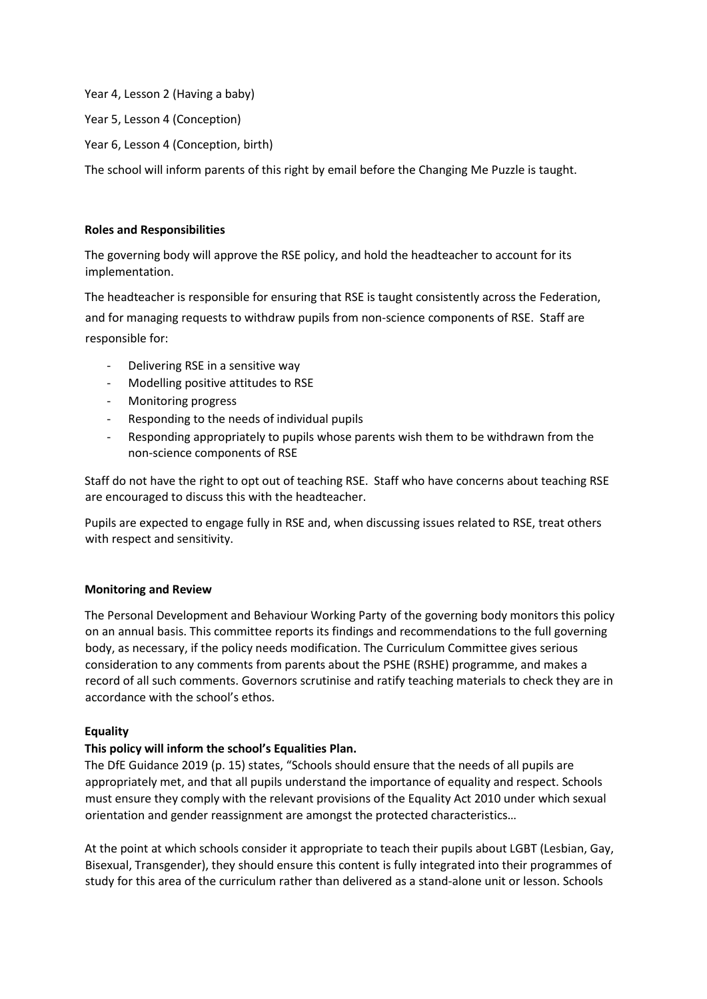Year 4, Lesson 2 (Having a baby)

Year 5, Lesson 4 (Conception)

Year 6, Lesson 4 (Conception, birth)

The school will inform parents of this right by email before the Changing Me Puzzle is taught.

### **Roles and Responsibilities**

The governing body will approve the RSE policy, and hold the headteacher to account for its implementation.

The headteacher is responsible for ensuring that RSE is taught consistently across the Federation, and for managing requests to withdraw pupils from non-science components of RSE. Staff are responsible for:

- Delivering RSE in a sensitive way
- Modelling positive attitudes to RSE
- Monitoring progress
- Responding to the needs of individual pupils
- Responding appropriately to pupils whose parents wish them to be withdrawn from the non-science components of RSE

Staff do not have the right to opt out of teaching RSE. Staff who have concerns about teaching RSE are encouraged to discuss this with the headteacher.

Pupils are expected to engage fully in RSE and, when discussing issues related to RSE, treat others with respect and sensitivity.

## **Monitoring and Review**

The Personal Development and Behaviour Working Party of the governing body monitors this policy on an annual basis. This committee reports its findings and recommendations to the full governing body, as necessary, if the policy needs modification. The Curriculum Committee gives serious consideration to any comments from parents about the PSHE (RSHE) programme, and makes a record of all such comments. Governors scrutinise and ratify teaching materials to check they are in accordance with the school's ethos.

### **Equality**

## **This policy will inform the school's Equalities Plan.**

The DfE Guidance 2019 (p. 15) states, "Schools should ensure that the needs of all pupils are appropriately met, and that all pupils understand the importance of equality and respect. Schools must ensure they comply with the relevant provisions of the Equality Act 2010 under which sexual orientation and gender reassignment are amongst the protected characteristics…

At the point at which schools consider it appropriate to teach their pupils about LGBT (Lesbian, Gay, Bisexual, Transgender), they should ensure this content is fully integrated into their programmes of study for this area of the curriculum rather than delivered as a stand-alone unit or lesson. Schools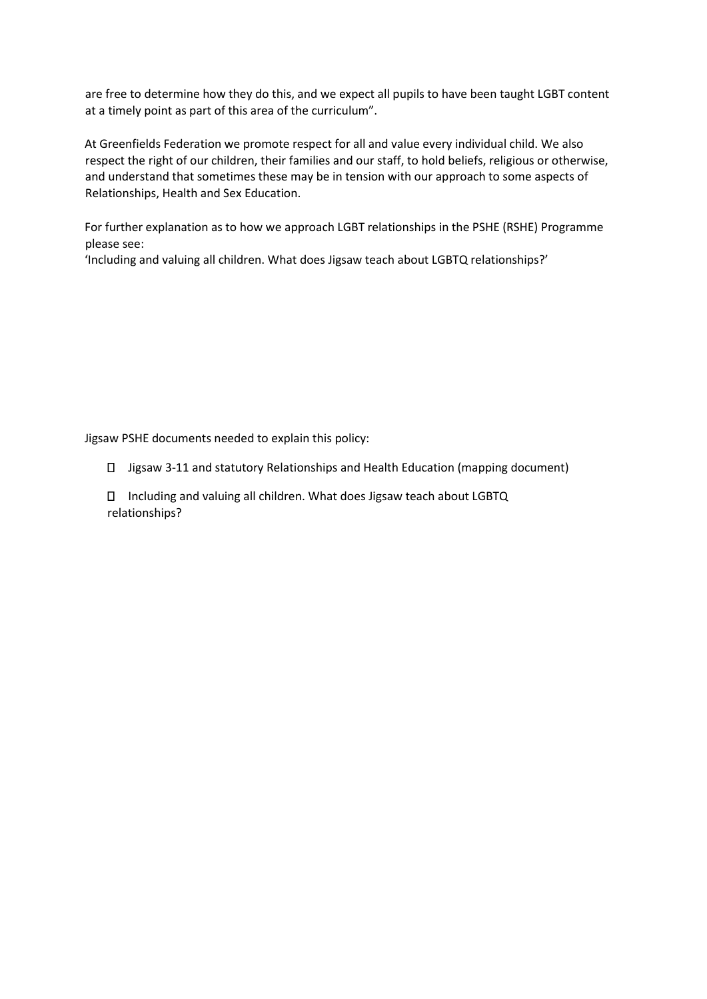are free to determine how they do this, and we expect all pupils to have been taught LGBT content at a timely point as part of this area of the curriculum".

At Greenfields Federation we promote respect for all and value every individual child. We also respect the right of our children, their families and our staff, to hold beliefs, religious or otherwise, and understand that sometimes these may be in tension with our approach to some aspects of Relationships, Health and Sex Education.

For further explanation as to how we approach LGBT relationships in the PSHE (RSHE) Programme please see:

'Including and valuing all children. What does Jigsaw teach about LGBTQ relationships?'

Jigsaw PSHE documents needed to explain this policy:

- Jigsaw 3-11 and statutory Relationships and Health Education (mapping document)
- Including and valuing all children. What does Jigsaw teach about LGBTQ relationships?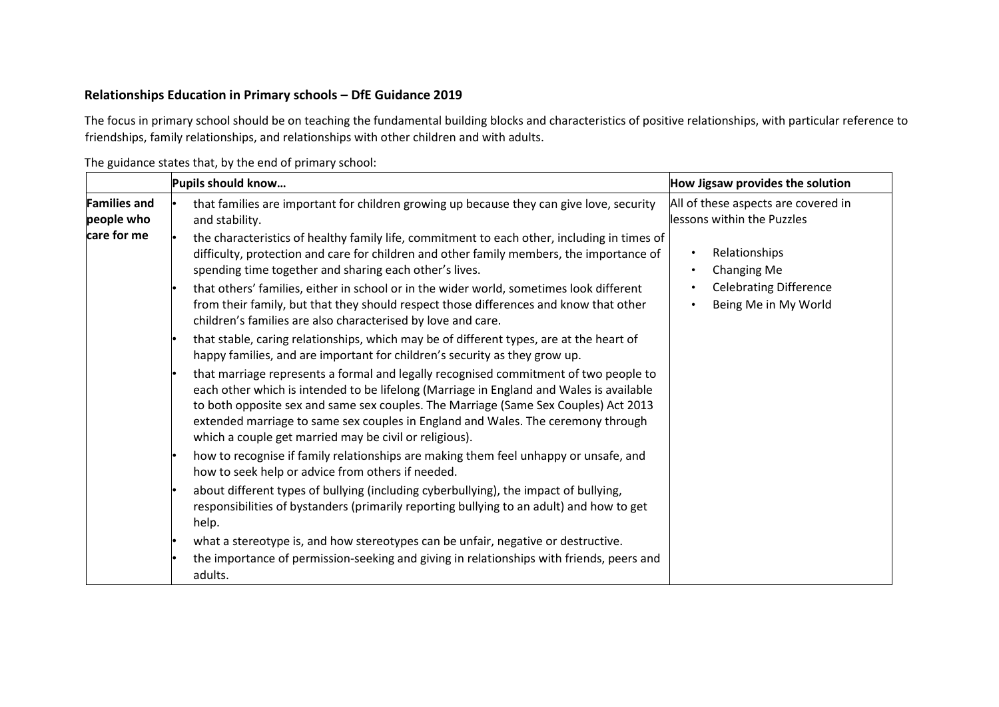## **Relationships Education in Primary schools – DfE Guidance 2019**

The focus in primary school should be on teaching the fundamental building blocks and characteristics of positive relationships, with particular reference to friendships, family relationships, and relationships with other children and with adults.

|                                   | Pupils should know                                                                                                                                                                                                                                                                                                                                                                                                   | How Jigsaw provides the solution                                  |
|-----------------------------------|----------------------------------------------------------------------------------------------------------------------------------------------------------------------------------------------------------------------------------------------------------------------------------------------------------------------------------------------------------------------------------------------------------------------|-------------------------------------------------------------------|
| <b>Families and</b><br>people who | that families are important for children growing up because they can give love, security<br>and stability.                                                                                                                                                                                                                                                                                                           | All of these aspects are covered in<br>lessons within the Puzzles |
| care for me                       | the characteristics of healthy family life, commitment to each other, including in times of<br>difficulty, protection and care for children and other family members, the importance of<br>spending time together and sharing each other's lives.                                                                                                                                                                    | Relationships<br>٠<br>Changing Me<br>$\bullet$                    |
|                                   | that others' families, either in school or in the wider world, sometimes look different<br>from their family, but that they should respect those differences and know that other<br>children's families are also characterised by love and care.                                                                                                                                                                     | <b>Celebrating Difference</b><br>Being Me in My World             |
|                                   | that stable, caring relationships, which may be of different types, are at the heart of<br>happy families, and are important for children's security as they grow up.                                                                                                                                                                                                                                                |                                                                   |
|                                   | that marriage represents a formal and legally recognised commitment of two people to<br>each other which is intended to be lifelong (Marriage in England and Wales is available<br>to both opposite sex and same sex couples. The Marriage (Same Sex Couples) Act 2013<br>extended marriage to same sex couples in England and Wales. The ceremony through<br>which a couple get married may be civil or religious). |                                                                   |
|                                   | how to recognise if family relationships are making them feel unhappy or unsafe, and<br>how to seek help or advice from others if needed.                                                                                                                                                                                                                                                                            |                                                                   |
|                                   | about different types of bullying (including cyberbullying), the impact of bullying,<br>responsibilities of bystanders (primarily reporting bullying to an adult) and how to get<br>help.                                                                                                                                                                                                                            |                                                                   |
|                                   | what a stereotype is, and how stereotypes can be unfair, negative or destructive.<br>the importance of permission-seeking and giving in relationships with friends, peers and<br>adults.                                                                                                                                                                                                                             |                                                                   |

The guidance states that, by the end of primary school: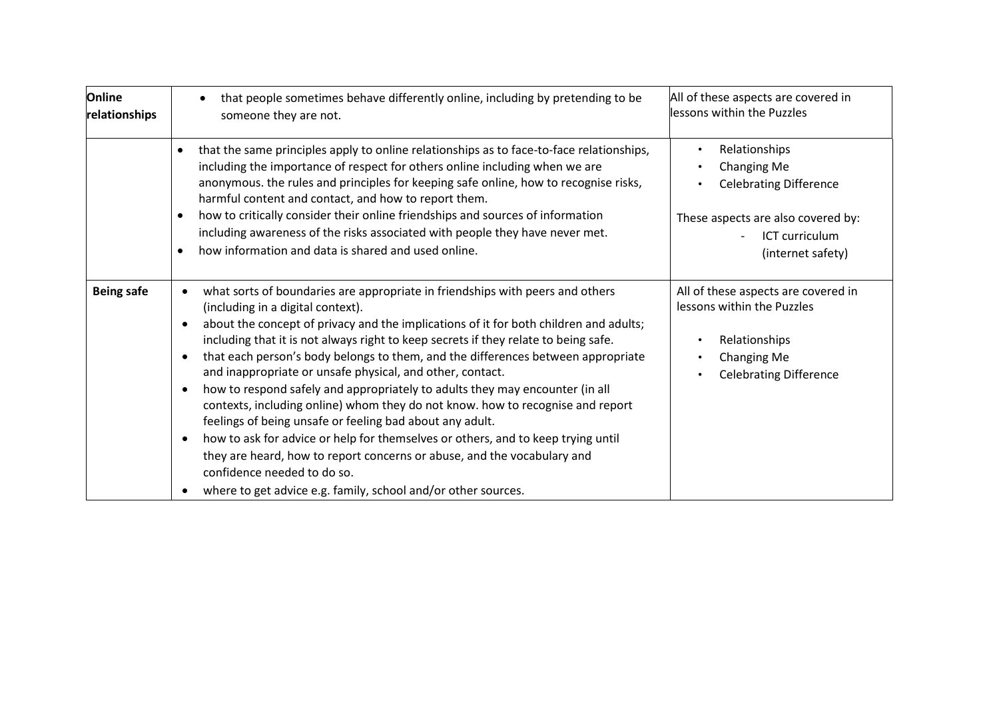| Online<br>relationships | that people sometimes behave differently online, including by pretending to be<br>someone they are not.                                                                                                                                                                                                                                                                                                                                                                                                                                                                                                                                                                                                                                                                                                                                                                                                                                                                                                   | All of these aspects are covered in<br>lessons within the Puzzles                                                                                 |  |
|-------------------------|-----------------------------------------------------------------------------------------------------------------------------------------------------------------------------------------------------------------------------------------------------------------------------------------------------------------------------------------------------------------------------------------------------------------------------------------------------------------------------------------------------------------------------------------------------------------------------------------------------------------------------------------------------------------------------------------------------------------------------------------------------------------------------------------------------------------------------------------------------------------------------------------------------------------------------------------------------------------------------------------------------------|---------------------------------------------------------------------------------------------------------------------------------------------------|--|
|                         | that the same principles apply to online relationships as to face-to-face relationships,<br>including the importance of respect for others online including when we are<br>anonymous. the rules and principles for keeping safe online, how to recognise risks,<br>harmful content and contact, and how to report them.<br>how to critically consider their online friendships and sources of information<br>$\bullet$<br>including awareness of the risks associated with people they have never met.<br>how information and data is shared and used online.<br>$\bullet$                                                                                                                                                                                                                                                                                                                                                                                                                                | Relationships<br><b>Changing Me</b><br><b>Celebrating Difference</b><br>These aspects are also covered by:<br>ICT curriculum<br>(internet safety) |  |
| <b>Being safe</b>       | what sorts of boundaries are appropriate in friendships with peers and others<br>$\bullet$<br>(including in a digital context).<br>about the concept of privacy and the implications of it for both children and adults;<br>٠<br>including that it is not always right to keep secrets if they relate to being safe.<br>that each person's body belongs to them, and the differences between appropriate<br>$\bullet$<br>and inappropriate or unsafe physical, and other, contact.<br>how to respond safely and appropriately to adults they may encounter (in all<br>$\bullet$<br>contexts, including online) whom they do not know. how to recognise and report<br>feelings of being unsafe or feeling bad about any adult.<br>how to ask for advice or help for themselves or others, and to keep trying until<br>$\bullet$<br>they are heard, how to report concerns or abuse, and the vocabulary and<br>confidence needed to do so.<br>where to get advice e.g. family, school and/or other sources. | All of these aspects are covered in<br>lessons within the Puzzles<br>Relationships<br>Changing Me<br><b>Celebrating Difference</b>                |  |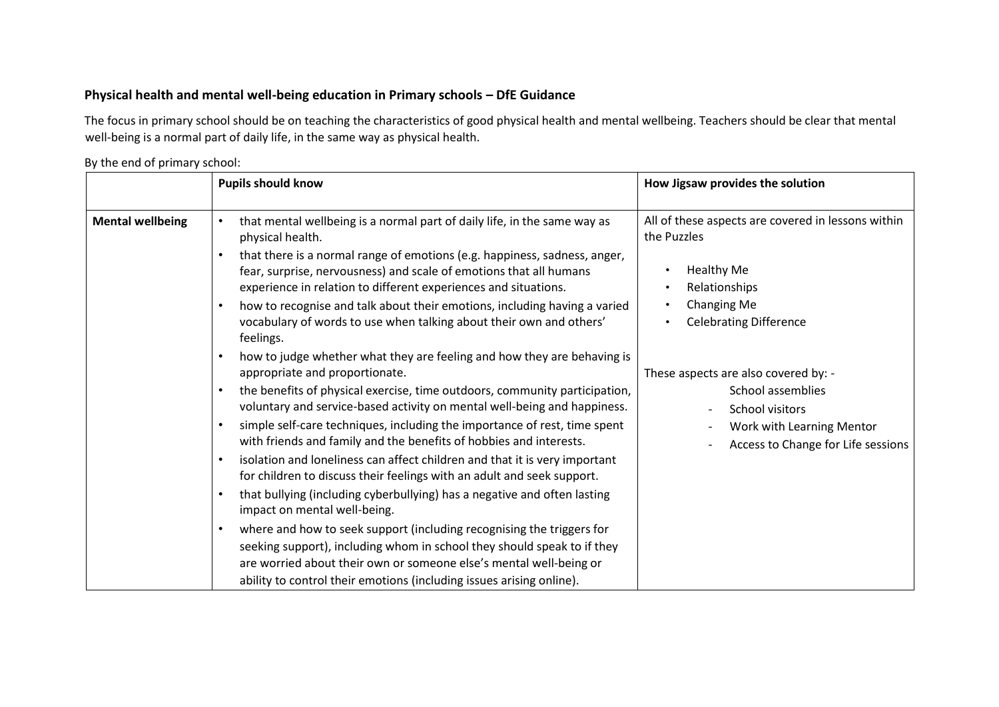# **Physical health and mental well-being education in Primary schools – DfE Guidance**

The focus in primary school should be on teaching the characteristics of good physical health and mental wellbeing. Teachers should be clear that mental well-being is a normal part of daily life, in the same way as physical health.

## By the end of primary school:

|                         | <b>Pupils should know</b>                                                                                                                                                                                                                                                                                                                                                                                                                                                                                                                                                                                                                                                                                                                                                                                                                                                                                                                                                                                                                                                                                                                                                   | How Jigsaw provides the solution                                                                                                                                                                                                                                                                                                            |
|-------------------------|-----------------------------------------------------------------------------------------------------------------------------------------------------------------------------------------------------------------------------------------------------------------------------------------------------------------------------------------------------------------------------------------------------------------------------------------------------------------------------------------------------------------------------------------------------------------------------------------------------------------------------------------------------------------------------------------------------------------------------------------------------------------------------------------------------------------------------------------------------------------------------------------------------------------------------------------------------------------------------------------------------------------------------------------------------------------------------------------------------------------------------------------------------------------------------|---------------------------------------------------------------------------------------------------------------------------------------------------------------------------------------------------------------------------------------------------------------------------------------------------------------------------------------------|
| <b>Mental wellbeing</b> | that mental wellbeing is a normal part of daily life, in the same way as<br>$\bullet$<br>physical health.<br>that there is a normal range of emotions (e.g. happiness, sadness, anger,<br>fear, surprise, nervousness) and scale of emotions that all humans<br>experience in relation to different experiences and situations.<br>how to recognise and talk about their emotions, including having a varied<br>vocabulary of words to use when talking about their own and others'<br>feelings.<br>how to judge whether what they are feeling and how they are behaving is<br>appropriate and proportionate.<br>the benefits of physical exercise, time outdoors, community participation,<br>voluntary and service-based activity on mental well-being and happiness.<br>simple self-care techniques, including the importance of rest, time spent<br>with friends and family and the benefits of hobbies and interests.<br>isolation and loneliness can affect children and that it is very important<br>$\bullet$<br>for children to discuss their feelings with an adult and seek support.<br>that bullying (including cyberbullying) has a negative and often lasting | All of these aspects are covered in lessons within<br>the Puzzles<br><b>Healthy Me</b><br>$\bullet$<br>Relationships<br>$\bullet$<br>Changing Me<br><b>Celebrating Difference</b><br>These aspects are also covered by: -<br>School assemblies<br><b>School visitors</b><br>Work with Learning Mentor<br>Access to Change for Life sessions |
|                         | impact on mental well-being.                                                                                                                                                                                                                                                                                                                                                                                                                                                                                                                                                                                                                                                                                                                                                                                                                                                                                                                                                                                                                                                                                                                                                |                                                                                                                                                                                                                                                                                                                                             |
|                         | where and how to seek support (including recognising the triggers for<br>$\bullet$<br>seeking support), including whom in school they should speak to if they<br>are worried about their own or someone else's mental well-being or<br>ability to control their emotions (including issues arising online).                                                                                                                                                                                                                                                                                                                                                                                                                                                                                                                                                                                                                                                                                                                                                                                                                                                                 |                                                                                                                                                                                                                                                                                                                                             |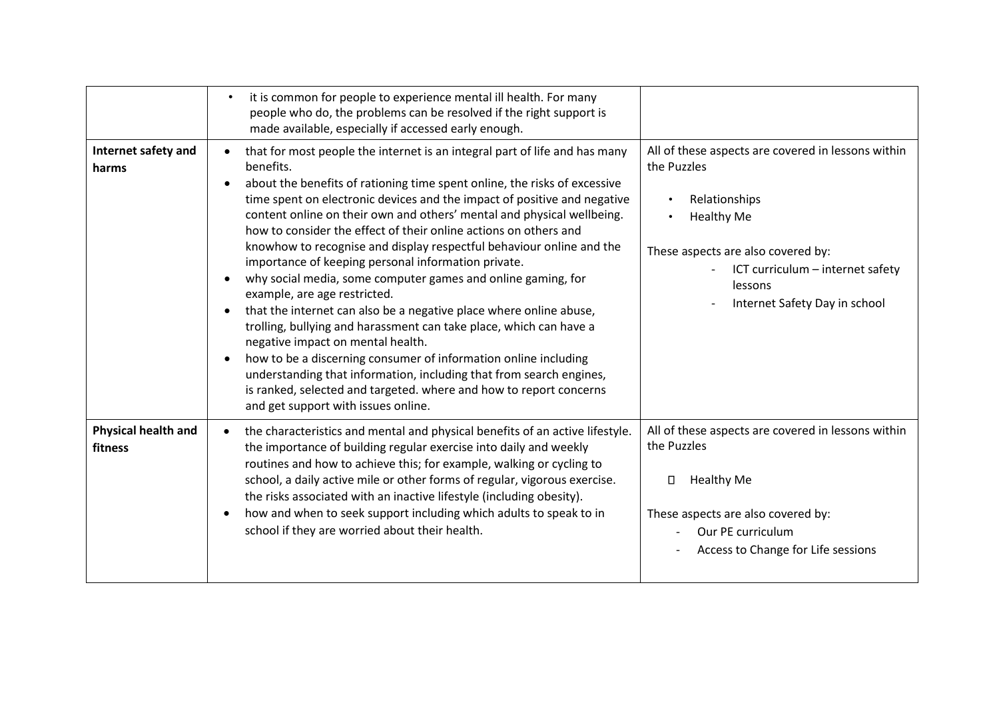|                                       | it is common for people to experience mental ill health. For many<br>people who do, the problems can be resolved if the right support is<br>made available, especially if accessed early enough.                                                                                                                                                                                                                                                                                                                                                                                                                                                                                                                                                                                                                                                                                                                                                                                                                                                                                                                                       |                                                                                                                                                                                                                               |
|---------------------------------------|----------------------------------------------------------------------------------------------------------------------------------------------------------------------------------------------------------------------------------------------------------------------------------------------------------------------------------------------------------------------------------------------------------------------------------------------------------------------------------------------------------------------------------------------------------------------------------------------------------------------------------------------------------------------------------------------------------------------------------------------------------------------------------------------------------------------------------------------------------------------------------------------------------------------------------------------------------------------------------------------------------------------------------------------------------------------------------------------------------------------------------------|-------------------------------------------------------------------------------------------------------------------------------------------------------------------------------------------------------------------------------|
| Internet safety and<br>harms          | that for most people the internet is an integral part of life and has many<br>$\bullet$<br>benefits.<br>about the benefits of rationing time spent online, the risks of excessive<br>$\bullet$<br>time spent on electronic devices and the impact of positive and negative<br>content online on their own and others' mental and physical wellbeing.<br>how to consider the effect of their online actions on others and<br>knowhow to recognise and display respectful behaviour online and the<br>importance of keeping personal information private.<br>why social media, some computer games and online gaming, for<br>$\bullet$<br>example, are age restricted.<br>that the internet can also be a negative place where online abuse,<br>$\bullet$<br>trolling, bullying and harassment can take place, which can have a<br>negative impact on mental health.<br>how to be a discerning consumer of information online including<br>$\bullet$<br>understanding that information, including that from search engines,<br>is ranked, selected and targeted. where and how to report concerns<br>and get support with issues online. | All of these aspects are covered in lessons within<br>the Puzzles<br>Relationships<br><b>Healthy Me</b><br>These aspects are also covered by:<br>ICT curriculum - internet safety<br>lessons<br>Internet Safety Day in school |
| <b>Physical health and</b><br>fitness | the characteristics and mental and physical benefits of an active lifestyle.<br>$\bullet$<br>the importance of building regular exercise into daily and weekly<br>routines and how to achieve this; for example, walking or cycling to<br>school, a daily active mile or other forms of regular, vigorous exercise.<br>the risks associated with an inactive lifestyle (including obesity).<br>how and when to seek support including which adults to speak to in<br>$\bullet$<br>school if they are worried about their health.                                                                                                                                                                                                                                                                                                                                                                                                                                                                                                                                                                                                       | All of these aspects are covered in lessons within<br>the Puzzles<br><b>Healthy Me</b><br>П<br>These aspects are also covered by:<br>Our PE curriculum<br>Access to Change for Life sessions                                  |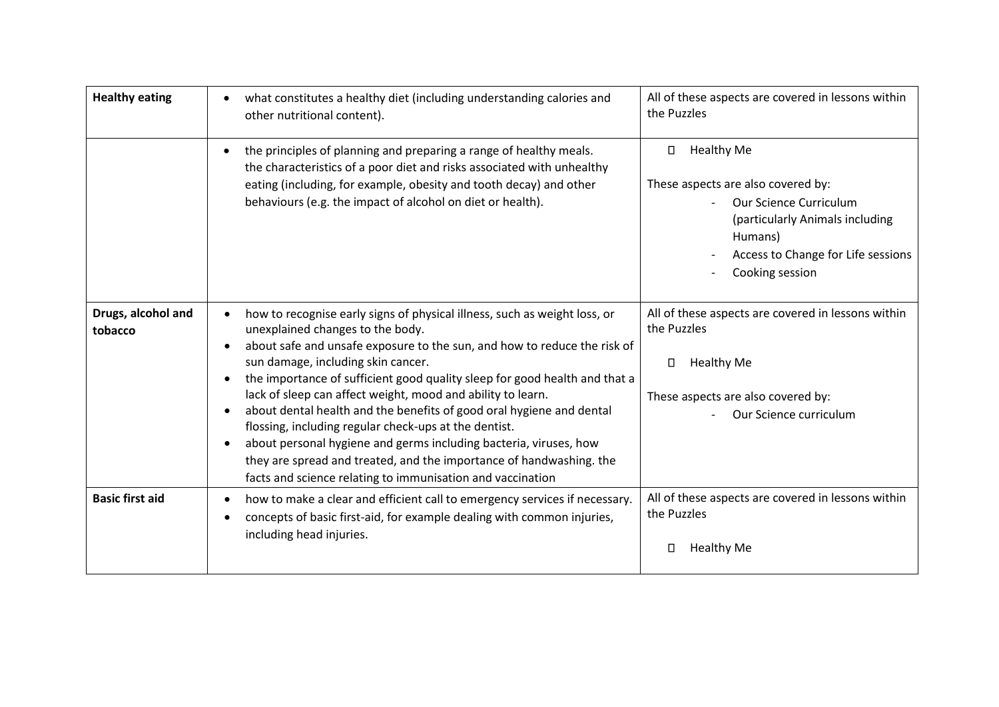| <b>Healthy eating</b>         | what constitutes a healthy diet (including understanding calories and<br>other nutritional content).                                                                                                                                                                                                                                                                                                                                                                                                                                                                                                                                                                                                                                                           | All of these aspects are covered in lessons within<br>the Puzzles                                                                                                                             |
|-------------------------------|----------------------------------------------------------------------------------------------------------------------------------------------------------------------------------------------------------------------------------------------------------------------------------------------------------------------------------------------------------------------------------------------------------------------------------------------------------------------------------------------------------------------------------------------------------------------------------------------------------------------------------------------------------------------------------------------------------------------------------------------------------------|-----------------------------------------------------------------------------------------------------------------------------------------------------------------------------------------------|
|                               | the principles of planning and preparing a range of healthy meals.<br>the characteristics of a poor diet and risks associated with unhealthy<br>eating (including, for example, obesity and tooth decay) and other<br>behaviours (e.g. the impact of alcohol on diet or health).                                                                                                                                                                                                                                                                                                                                                                                                                                                                               | <b>Healthy Me</b><br>П<br>These aspects are also covered by:<br>Our Science Curriculum<br>(particularly Animals including<br>Humans)<br>Access to Change for Life sessions<br>Cooking session |
| Drugs, alcohol and<br>tobacco | how to recognise early signs of physical illness, such as weight loss, or<br>unexplained changes to the body.<br>about safe and unsafe exposure to the sun, and how to reduce the risk of<br>$\bullet$<br>sun damage, including skin cancer.<br>the importance of sufficient good quality sleep for good health and that a<br>$\bullet$<br>lack of sleep can affect weight, mood and ability to learn.<br>about dental health and the benefits of good oral hygiene and dental<br>flossing, including regular check-ups at the dentist.<br>about personal hygiene and germs including bacteria, viruses, how<br>$\bullet$<br>they are spread and treated, and the importance of handwashing. the<br>facts and science relating to immunisation and vaccination | All of these aspects are covered in lessons within<br>the Puzzles<br><b>Healthy Me</b><br>$\Box$<br>These aspects are also covered by:<br>Our Science curriculum                              |
| <b>Basic first aid</b>        | how to make a clear and efficient call to emergency services if necessary.<br>concepts of basic first-aid, for example dealing with common injuries,<br>including head injuries.                                                                                                                                                                                                                                                                                                                                                                                                                                                                                                                                                                               | All of these aspects are covered in lessons within<br>the Puzzles<br><b>Healthy Me</b><br>Ω                                                                                                   |